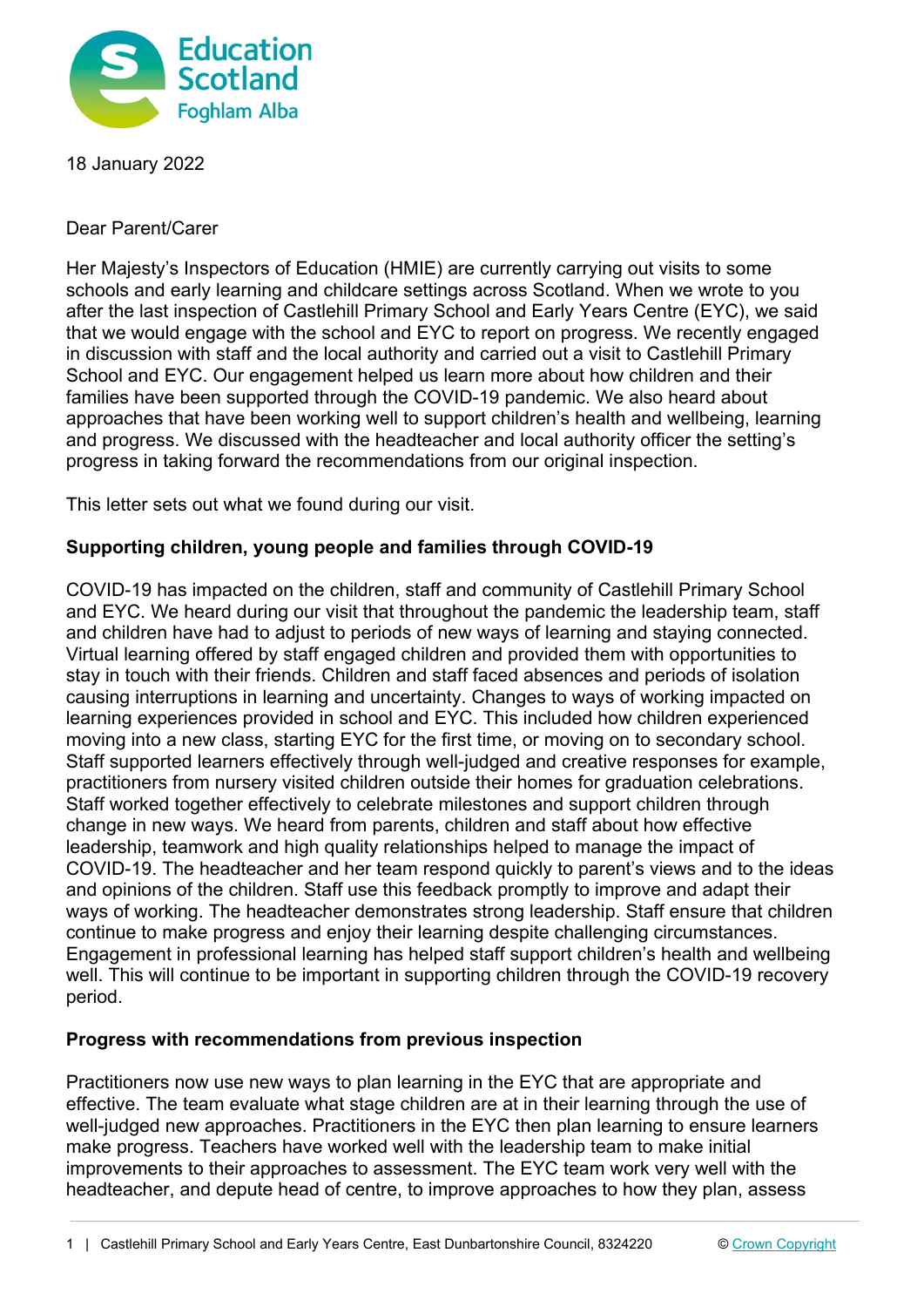

18 January 2022

Dear Parent/Carer

Her Majesty's Inspectors of Education (HMIE) are currently carrying out visits to some schools and early learning and childcare settings across Scotland. When we wrote to you after the last inspection of Castlehill Primary School and Early Years Centre (EYC), we said that we would engage with the school and EYC to report on progress. We recently engaged in discussion with staff and the local authority and carried out a visit to Castlehill Primary School and EYC. Our engagement helped us learn more about how children and their families have been supported through the COVID-19 pandemic. We also heard about approaches that have been working well to support children's health and wellbeing, learning and progress. We discussed with the headteacher and local authority officer the setting's progress in taking forward the recommendations from our original inspection.

This letter sets out what we found during our visit.

## **Supporting children, young people and families through COVID-19**

COVID-19 has impacted on the children, staff and community of Castlehill Primary School and EYC. We heard during our visit that throughout the pandemic the leadership team, staff and children have had to adjust to periods of new ways of learning and staying connected. Virtual learning offered by staff engaged children and provided them with opportunities to stay in touch with their friends. Children and staff faced absences and periods of isolation causing interruptions in learning and uncertainty. Changes to ways of working impacted on learning experiences provided in school and EYC. This included how children experienced moving into a new class, starting EYC for the first time, or moving on to secondary school. Staff supported learners effectively through well-judged and creative responses for example, practitioners from nursery visited children outside their homes for graduation celebrations. Staff worked together effectively to celebrate milestones and support children through change in new ways. We heard from parents, children and staff about how effective leadership, teamwork and high quality relationships helped to manage the impact of COVID-19. The headteacher and her team respond quickly to parent's views and to the ideas and opinions of the children. Staff use this feedback promptly to improve and adapt their ways of working. The headteacher demonstrates strong leadership. Staff ensure that children continue to make progress and enjoy their learning despite challenging circumstances. Engagement in professional learning has helped staff support children's health and wellbeing well. This will continue to be important in supporting children through the COVID-19 recovery period.

## **Progress with recommendations from previous inspection**

Practitioners now use new ways to plan learning in the EYC that are appropriate and effective. The team evaluate what stage children are at in their learning through the use of well-judged new approaches. Practitioners in the EYC then plan learning to ensure learners make progress. Teachers have worked well with the leadership team to make initial improvements to their approaches to assessment. The EYC team work very well with the headteacher, and depute head of centre, to improve approaches to how they plan, assess